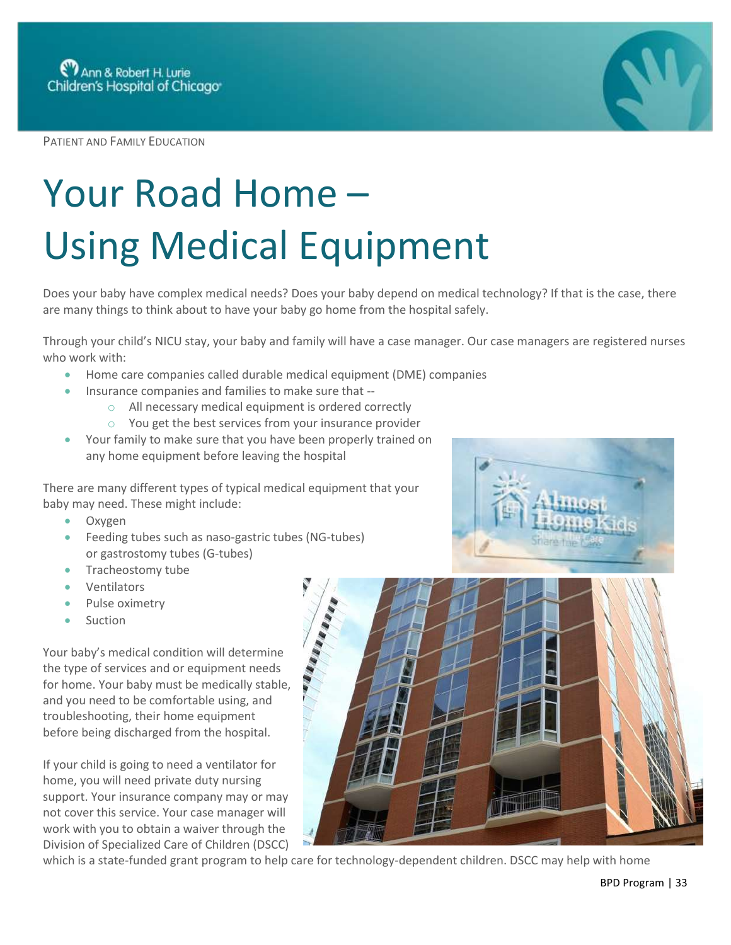PATIENT AND FAMILY EDUCATION

## Your Road Home – Using Medical Equipment

Does your baby have complex medical needs? Does your baby depend on medical technology? If that is the case, there are many things to think about to have your baby go home from the hospital safely.

Through your child's NICU stay, your baby and family will have a case manager. Our case managers are registered nurses who work with:

- Home care companies called durable medical equipment (DME) companies
- Insurance companies and families to make sure that
	- o All necessary medical equipment is ordered correctly
	- o You get the best services from your insurance provider
- Your family to make sure that you have been properly trained on any home equipment before leaving the hospital

There are many different types of typical medical equipment that your baby may need. These might include:

- Oxygen
- Feeding tubes such as naso-gastric tubes (NG-tubes) or gastrostomy tubes (G-tubes)
- Tracheostomy tube
- **Ventilators**
- Pulse oximetry
- Suction

Your baby's medical condition will determine the type of services and or equipment needs for home. Your baby must be medically stable, and you need to be comfortable using, and troubleshooting, their home equipment before being discharged from the hospital.

If your child is going to need a ventilator for home, you will need private duty nursing support. Your insurance company may or may not cover this service. Your case manager will work with you to obtain a waiver through the Division of Specialized Care of Children (DSCC)



which is a state-funded grant program to help care for technology-dependent children. DSCC may help with home